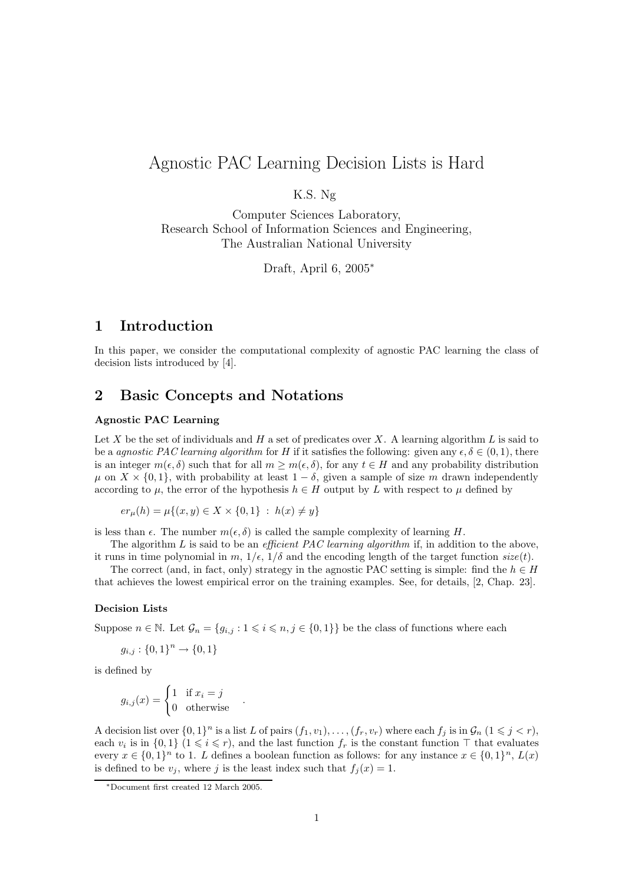# Agnostic PAC Learning Decision Lists is Hard

### K.S. Ng

Computer Sciences Laboratory, Research School of Information Sciences and Engineering, The Australian National University

Draft, April 6, 2005<sup>∗</sup>

# 1 Introduction

In this paper, we consider the computational complexity of agnostic PAC learning the class of decision lists introduced by [4].

## 2 Basic Concepts and Notations

### Agnostic PAC Learning

Let X be the set of individuals and H a set of predicates over X. A learning algorithm  $L$  is said to be a agnostic PAC learning algorithm for H if it satisfies the following: given any  $\epsilon, \delta \in (0, 1)$ , there is an integer  $m(\epsilon, \delta)$  such that for all  $m \geq m(\epsilon, \delta)$ , for any  $t \in H$  and any probability distribution  $\mu$  on  $X \times \{0,1\}$ , with probability at least  $1-\delta$ , given a sample of size m drawn independently according to  $\mu$ , the error of the hypothesis  $h \in H$  output by L with respect to  $\mu$  defined by

$$
er_{\mu}(h) = \mu\{(x, y) \in X \times \{0, 1\} : h(x) \neq y\}
$$

.

is less than  $\epsilon$ . The number  $m(\epsilon, \delta)$  is called the sample complexity of learning H.

The algorithm  $L$  is said to be an *efficient PAC learning algorithm* if, in addition to the above, it runs in time polynomial in  $m, 1/\epsilon, 1/\delta$  and the encoding length of the target function  $size(t)$ .

The correct (and, in fact, only) strategy in the agnostic PAC setting is simple: find the  $h \in H$ that achieves the lowest empirical error on the training examples. See, for details, [2, Chap. 23].

#### Decision Lists

Suppose  $n \in \mathbb{N}$ . Let  $\mathcal{G}_n = \{g_{i,j} : 1 \leq i \leq n, j \in \{0,1\}\}\$  be the class of functions where each

$$
g_{i,j}: \{0,1\}^n \to \{0,1\}
$$

is defined by

$$
g_{i,j}(x) = \begin{cases} 1 & \text{if } x_i = j \\ 0 & \text{otherwise} \end{cases}
$$

A decision list over  $\{0,1\}^n$  is a list L of pairs  $(f_1, v_1), \ldots, (f_r, v_r)$  where each  $f_j$  is in  $\mathcal{G}_n$   $(1 \leq j < r),$ each  $v_i$  is in  $\{0,1\}$   $(1 \leq i \leq r)$ , and the last function  $f_r$  is the constant function  $\top$  that evaluates every  $x \in \{0,1\}^n$  to 1. L defines a boolean function as follows: for any instance  $x \in \{0,1\}^n$ ,  $L(x)$ is defined to be  $v_j$ , where j is the least index such that  $f_i(x) = 1$ .

<sup>∗</sup>Document first created 12 March 2005.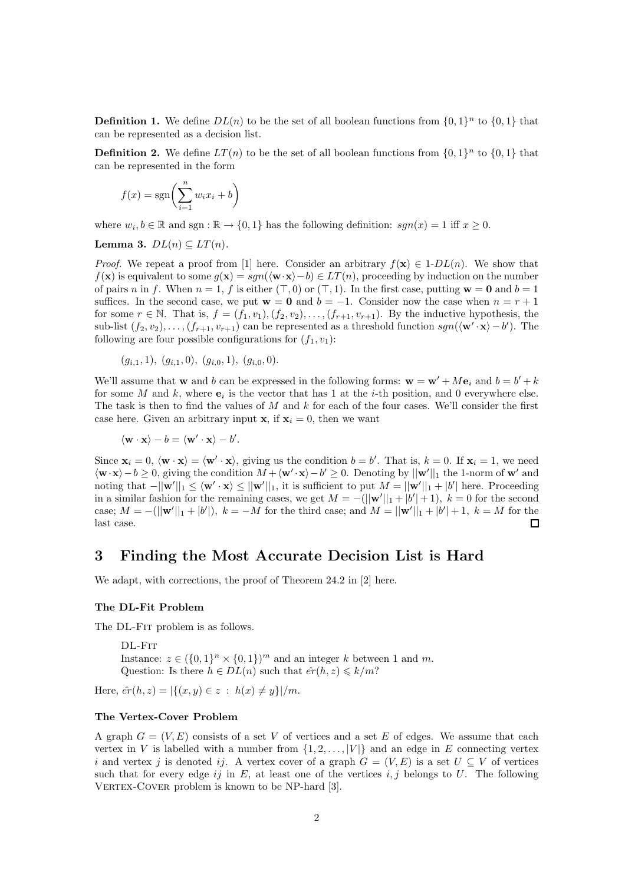**Definition 1.** We define  $DL(n)$  to be the set of all boolean functions from  $\{0,1\}^n$  to  $\{0,1\}$  that can be represented as a decision list.

**Definition 2.** We define  $LT(n)$  to be the set of all boolean functions from  $\{0,1\}^n$  to  $\{0,1\}$  that can be represented in the form

$$
f(x) = \operatorname{sgn}\left(\sum_{i=1}^{n} w_i x_i + b\right)
$$

where  $w_i, b \in \mathbb{R}$  and sgn :  $\mathbb{R} \to \{0, 1\}$  has the following definition:  $sgn(x) = 1$  iff  $x \ge 0$ .

Lemma 3.  $DL(n) \subseteq LT(n)$ .

*Proof.* We repeat a proof from [1] here. Consider an arbitrary  $f(\mathbf{x}) \in 1-DL(n)$ . We show that  $f(\mathbf{x})$  is equivalent to some  $g(\mathbf{x}) = sgn(\langle \mathbf{w} \cdot \mathbf{x} \rangle - b) \in LT(n)$ , proceeding by induction on the number of pairs n in f. When  $n = 1$ , f is either  $(\top, 0)$  or  $(\top, 1)$ . In the first case, putting  $\mathbf{w} = \mathbf{0}$  and  $b = 1$ suffices. In the second case, we put  $\mathbf{w} = \mathbf{0}$  and  $b = -1$ . Consider now the case when  $n = r + 1$ for some  $r \in \mathbb{N}$ . That is,  $f = (f_1, v_1), (f_2, v_2), \ldots, (f_{r+1}, v_{r+1})$ . By the inductive hypothesis, the sub-list  $(f_2, v_2), \ldots, (f_{r+1}, v_{r+1})$  can be represented as a threshold function  $sgn(\langle \mathbf{w}' \cdot \mathbf{x} \rangle - b')$ . The following are four possible configurations for  $(f_1, v_1)$ :

 $(g_{i,1}, 1), (g_{i,1}, 0), (g_{i,0}, 1), (g_{i,0}, 0).$ 

We'll assume that **w** and b can be expressed in the following forms:  $\mathbf{w} = \mathbf{w}' + M\mathbf{e}_i$  and  $b = b' + k$ for some M and k, where  $e_i$  is the vector that has 1 at the *i*-th position, and 0 everywhere else. The task is then to find the values of  $M$  and  $k$  for each of the four cases. We'll consider the first case here. Given an arbitrary input **x**, if  $x_i = 0$ , then we want

$$
\langle \mathbf{w} \cdot \mathbf{x} \rangle - b = \langle \mathbf{w}' \cdot \mathbf{x} \rangle - b'.
$$

Since  $\mathbf{x}_i = 0$ ,  $\langle \mathbf{w} \cdot \mathbf{x} \rangle = \langle \mathbf{w}' \cdot \mathbf{x} \rangle$ , giving us the condition  $b = b'$ . That is,  $k = 0$ . If  $\mathbf{x}_i = 1$ , we need  $\langle \mathbf{w} \cdot \mathbf{x} \rangle - b \ge 0$ , giving the condition  $M + \langle \mathbf{w}' \cdot \mathbf{x} \rangle - b' \ge 0$ . Denoting by  $||\mathbf{w}'||_1$  the 1-norm of w' and noting that  $-||\mathbf{w}'||_1 \leq \langle \mathbf{w}' \cdot \mathbf{x} \rangle \leq ||\mathbf{w}'||_1$ , it is sufficient to put  $M = ||\mathbf{w}'||_1 + |b'|$  here. Proceeding in a similar fashion for the remaining cases, we get  $M = -(||\mathbf{w}'||_1 + |b'| + 1)$ ,  $k = 0$  for the second case;  $M = -(||\mathbf{w}'||_1 + |b'|)$ ,  $k = -M$  for the third case; and  $M = ||\mathbf{w}'||_1 + |b'| + 1$ ,  $k = M$  for the last case.  $\Box$ 

## 3 Finding the Most Accurate Decision List is Hard

We adapt, with corrections, the proof of Theorem 24.2 in [2] here.

### The DL-Fit Problem

The DL-Fit problem is as follows.

DL-Fit Instance:  $z \in (\{0,1\}^n \times \{0,1\})^m$  and an integer k between 1 and m. Question: Is there  $h \in DL(n)$  such that  $\hat{er}(h, z) \leq k/m$ ?

Here,  $\hat{er}(h, z) = |\{(x, y) \in z : h(x) \neq y\}|/m$ .

### The Vertex-Cover Problem

A graph  $G = (V, E)$  consists of a set V of vertices and a set E of edges. We assume that each vertex in V is labelled with a number from  $\{1, 2, \ldots, |V|\}$  and an edge in E connecting vertex i and vertex j is denoted ij. A vertex cover of a graph  $G = (V, E)$  is a set  $U \subseteq V$  of vertices such that for every edge ij in E, at least one of the vertices i, j belongs to U. The following VERTEX-COVER problem is known to be NP-hard [3].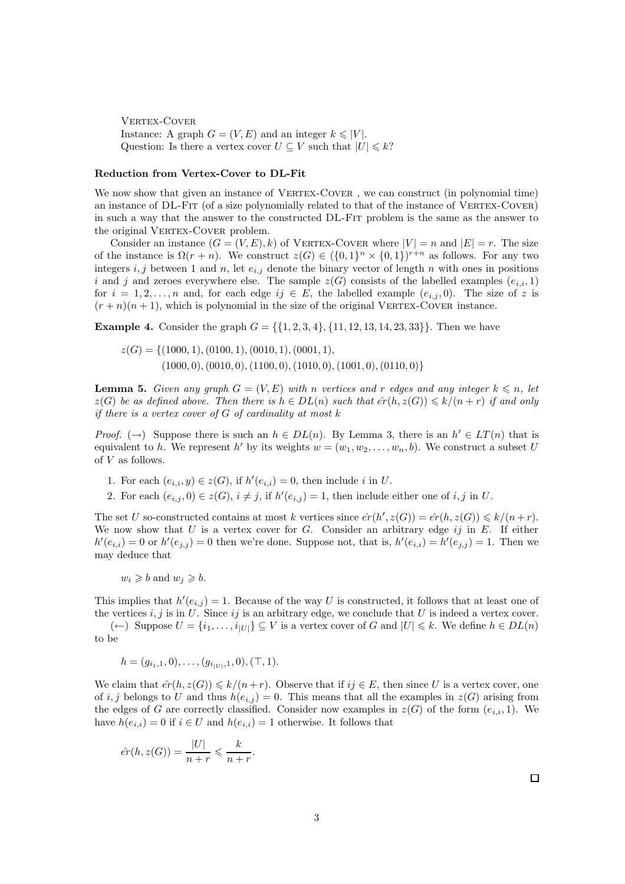VERTEX-COVER Instance: A graph  $G = (V, E)$  and an integer  $k \leq |V|$ . Question: Is there a vertex cover  $U \subseteq V$  such that  $|U| \leq k$ ?

#### Reduction from Vertex-Cover to DL-Fit

We now show that given an instance of VERTEX-COVER, we can construct (in polynomial time) an instance of DL-FIT (of a size polynomially related to that of the instance of VERTEX-COVER) in such a way that the answer to the constructed DL-Fit problem is the same as the answer to the original VERTEX-COVER problem.

Consider an instance  $(G = (V, E), k)$  of VERTEX-COVER where  $|V| = n$  and  $|E| = r$ . The size of the instance is  $\Omega(r+n)$ . We construct  $z(G) \in (\{0,1\}^n \times \{0,1\})^{r+n}$  as follows. For any two integers i, j between 1 and n, let  $e_{i,j}$  denote the binary vector of length n with ones in positions i and j and zeroes everywhere else. The sample  $z(G)$  consists of the labelled examples  $(e_{i,i}, 1)$ for  $i = 1, 2, \ldots, n$  and, for each edge  $ij \in E$ , the labelled example  $(e_{i,j}, 0)$ . The size of z is  $(r+n)(n+1)$ , which is polynomial in the size of the original VERTEX-COVER instance.

**Example 4.** Consider the graph  $G = \{ \{1, 2, 3, 4\}, \{11, 12, 13, 14, 23, 33\} \}$ . Then we have

 $z(G) = \{(1000, 1), (0100, 1), (0010, 1), (0001, 1),$  $(1000, 0), (0010, 0), (1100, 0), (1010, 0), (1001, 0), (0110, 0)$ 

**Lemma 5.** Given any graph  $G = (V, E)$  with n vertices and r edges and any integer  $k \leq n$ , let  $z(G)$  be as defined above. Then there is  $h \in DL(n)$  such that  $\hat{er}(h, z(G)) \leq k/(n+r)$  if and only if there is a vertex cover of  $G$  of cardinality at most  $k$ 

*Proof.* ( $\rightarrow$ ) Suppose there is such an  $h \in DL(n)$ . By Lemma 3, there is an  $h' \in LT(n)$  that is equivalent to h. We represent h' by its weights  $w = (w_1, w_2, \ldots, w_n, b)$ . We construct a subset U of V as follows.

- 1. For each  $(e_{i,i}, y) \in z(G)$ , if  $h'(e_{i,i}) = 0$ , then include i in U.
- 2. For each  $(e_{i,j}, 0) \in z(G), i \neq j$ , if  $h'(e_{i,j}) = 1$ , then include either one of i, j in U.

The set U so-constructed contains at most k vertices since  $\hat{er}(h', z(G)) = \hat{er}(h, z(G)) \leq k/(n+r)$ . We now show that U is a vertex cover for G. Consider an arbitrary edge  $i\dot{j}$  in E. If either  $h'(e_{i,i}) = 0$  or  $h'(e_{j,j}) = 0$  then we're done. Suppose not, that is,  $h'(e_{i,i}) = h'(e_{j,j}) = 1$ . Then we may deduce that

 $w_i \geq b$  and  $w_j \geq b$ .

This implies that  $h'(e_{i,j}) = 1$ . Because of the way U is constructed, it follows that at least one of the vertices  $i, j$  is in U. Since  $ij$  is an arbitrary edge, we conclude that U is indeed a vertex cover.

(←) Suppose  $U = \{i_1, \ldots, i_{|U|}\}$   $\subseteq$  V is a vertex cover of G and  $|U| \le k$ . We define  $h \in DL(n)$ to be

$$
h = (g_{i_1,1},0), \ldots, (g_{i_{|U|},1},0), (\top,1).
$$

We claim that  $\hat{er}(h, z(G)) \leq k/(n+r)$ . Observe that if  $ij \in E$ , then since U is a vertex cover, one of i, j belongs to U and thus  $h(e_{i,j}) = 0$ . This means that all the examples in  $z(G)$  arising from the edges of G are correctly classified. Consider now examples in  $z(G)$  of the form  $(e_{i,i}, 1)$ . We have  $h(e_{i,i}) = 0$  if  $i \in U$  and  $h(e_{i,i}) = 1$  otherwise. It follows that

$$
\hat{er}(h, z(G)) = \frac{|U|}{n+r} \leqslant \frac{k}{n+r}.
$$

 $\Box$